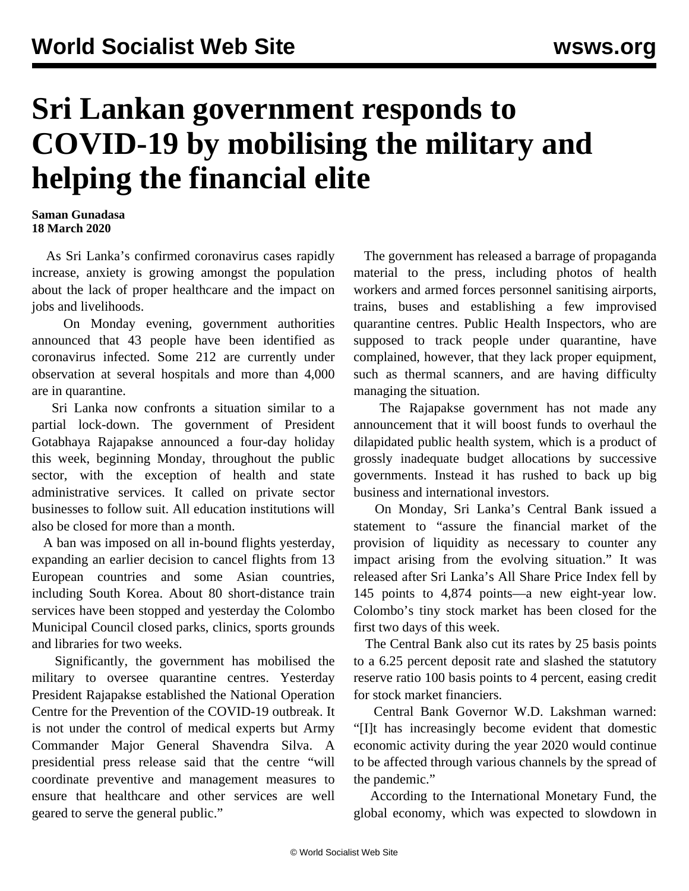## **Sri Lankan government responds to COVID-19 by mobilising the military and helping the financial elite**

## **Saman Gunadasa 18 March 2020**

 As Sri Lanka's confirmed coronavirus cases rapidly increase, anxiety is growing amongst the population about the lack of proper healthcare and the impact on jobs and livelihoods.

 On Monday evening, government authorities announced that 43 people have been identified as coronavirus infected. Some 212 are currently under observation at several hospitals and more than 4,000 are in quarantine.

 Sri Lanka now confronts a situation similar to a partial lock-down. The government of President Gotabhaya Rajapakse announced a four-day holiday this week, beginning Monday, throughout the public sector, with the exception of health and state administrative services. It called on private sector businesses to follow suit. All education institutions will also be closed for more than a month.

 A ban was imposed on all in-bound flights yesterday, expanding an earlier decision to cancel flights from 13 European countries and some Asian countries, including South Korea. About 80 short-distance train services have been stopped and yesterday the Colombo Municipal Council closed parks, clinics, sports grounds and libraries for two weeks.

 Significantly, the government has mobilised the military to oversee quarantine centres. Yesterday President Rajapakse established the National Operation Centre for the Prevention of the COVID-19 outbreak. It is not under the control of medical experts but Army Commander Major General Shavendra Silva. A presidential press release said that the centre "will coordinate preventive and management measures to ensure that healthcare and other services are well geared to serve the general public."

 The government has released a barrage of propaganda material to the press, including photos of health workers and armed forces personnel sanitising airports, trains, buses and establishing a few improvised quarantine centres. Public Health Inspectors, who are supposed to track people under quarantine, have complained, however, that they lack proper equipment, such as thermal scanners, and are having difficulty managing the situation.

 The Rajapakse government has not made any announcement that it will boost funds to overhaul the dilapidated public health system, which is a product of grossly inadequate budget allocations by successive governments. Instead it has rushed to back up big business and international investors.

 On Monday, Sri Lanka's Central Bank issued a statement to "assure the financial market of the provision of liquidity as necessary to counter any impact arising from the evolving situation." It was released after Sri Lanka's All Share Price Index fell by 145 points to 4,874 points—a new eight-year low. Colombo's tiny stock market has been closed for the first two days of this week.

 The Central Bank also cut its rates by 25 basis points to a 6.25 percent deposit rate and slashed the statutory reserve ratio 100 basis points to 4 percent, easing credit for stock market financiers.

 Central Bank Governor W.D. Lakshman warned: "[I]t has increasingly become evident that domestic economic activity during the year 2020 would continue to be affected through various channels by the spread of the pandemic."

 According to the International Monetary Fund, the global economy, which was expected to slowdown in